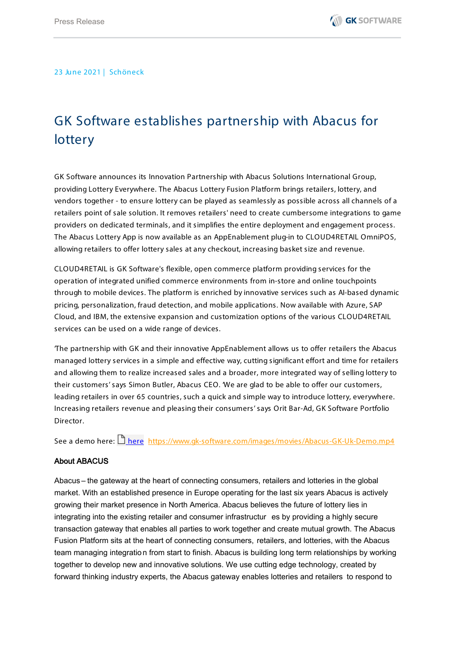23 June 2021 | Schöneck

## GK Software establishes partnership with Abacus for **lottery**

GK Software announces its Innovation Partnership with Abacus Solutions International Group, providing Lottery Everywhere. The Abacus Lottery Fusion Platform brings retailers, lottery, and vendors together - to ensure lottery can be played as seamlessly as possible across all channels of a retailers point of sale solution. It removes retailers' need to create cumbersome integrations to game providers on dedicated terminals, and it simplifies the entire deployment and engagement process. The Abacus Lottery App is now available as an AppEnablement plug-in to CLOUD4RETAIL OmniPOS, allowing retailers to offer lottery sales at any checkout, increasing basket size and revenue.

CLOUD4RETAIL is GK Software's flexible, open commerce platform providing services for the operation of integrated unified commerce environments from in-store and online touchpoints through to mobile devices. The platform is enriched by innovative services such as AI-based dynamic pricing, personalization, fraud detection, and mobile applications. Now available with Azure, SAP Cloud, and IBM, the extensive expansion and customization options of the various CLOUD4RETAIL services can be used on a wide range of devices.

'The partnership with GK and their innovative AppEnablement allows us to offer retailers the Abacus managed lottery services in a simple and effective way, cutting significant effort and time for retailers and allowing them to realize increased sales and a broader, more integrated way of selling lottery to their customers' says Simon Butler, Abacus CEO. 'We are glad to be able to offer our customers, leading retailers in over 65 countries, such a quick and simple way to introduce lottery, everywhere. Increasing retailers revenue and pleasing their consumers' says Orit Bar-Ad, GK Software Portfolio Director.

See a demo [here](https://gksoftware-my.sharepoint.com/:v:/g/personal/obar-ad_gk-software_com/EcFaXGwK39JJi5sQylVd7FkBYTjGgTxSrhGYp9McXX58rA?e=5k0ofd): <https://www.gk-software.com/images/movies/Abacus-GK-Uk-Demo.mp4>

## About ABACUS

Abacus – the gateway at the heart of connecting consumers, retailers and lotteries in the global market. With an established presence in Europe operating for the last six years Abacus is actively growing their market presence in North America. Abacus believes the future of lottery lies in integrating into the existing retailer and consumer infrastructur es by providing a highly secure transaction gateway that enables all parties to work together and create mutual growth. The Abacus Fusion Platform sits at the heart of connecting consumers, retailers, and lotteries, with the Abacus team managing integratio n from start to finish. Abacus is building long term relationships by working together to develop new and innovative solutions. We use cutting edge technology, created by forward thinking industry experts, the Abacus gateway enables lotteries and retailers to respond to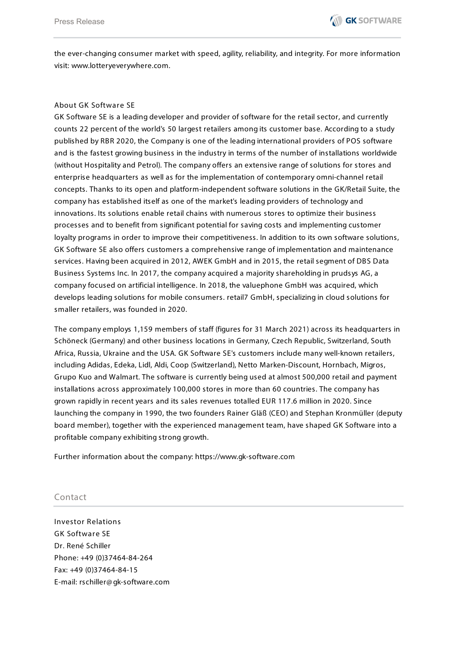the ever-changing consumer market with speed, agility, reliability, and integrity. For more information visit: [www.lotteryeverywhere.com.](http://www.lotteryeverywhere.com/)

## About GK Software SE

GK Software SE is a leading developer and provider of software for the retail sector, and currently counts 22 percent of the world's 50 largest retailers among its customer base. According to a study published by RBR 2020, the Company is one of the leading international providers of POS software and is the fastest growing business in the industry in terms of the number of installations worldwide (without Hospitality and Petrol). The company offers an extensive range of solutions for stores and enterprise headquarters as well as for the implementation of contemporary omni-channel retail concepts. Thanks to its open and platform-independent software solutions in the GK/Retail Suite, the company has established itself as one of the market's leading providers of technology and innovations. Its solutions enable retail chains with numerous stores to optimize their business processes and to benefit from significant potential for saving costs and implementing customer loyalty programs in order to improve their competitiveness. In addition to its own software solutions, GK Software SE also offers customers a comprehensive range of implementation and maintenance services. Having been acquired in 2012, AWEK GmbH and in 2015, the retail segment of DBS Data Business Systems Inc. In 2017, the company acquired a majority shareholding in prudsys AG, a company focused on artificial intelligence. In 2018, the valuephone GmbH was acquired, which develops leading solutions for mobile consumers. retail7 GmbH, specializing in cloud solutions for smaller retailers, was founded in 2020.

The company employs 1,159 members of staff (figures for 31 March 2021) across its headquarters in Schöneck (Germany) and other business locations in Germany, Czech Republic, Switzerland, South Africa, Russia, Ukraine and the USA. GK Software SE's customers include many well-known retailers, including Adidas, Edeka, Lidl, Aldi, Coop (Switzerland), Netto Marken-Discount, Hornbach, Migros, Grupo Kuo and Walmart. The software is currently being used at almost 500,000 retail and payment installations across approximately 100,000 stores in more than 60 countries. The company has grown rapidly in recent years and its sales revenues totalled EUR 117.6 million in 2020. Since launching the company in 1990, the two founders Rainer Gläß (CEO) and Stephan Kronmüller (deputy board member), together with the experienced management team, have shaped GK Software into a profitable company exhibiting strong growth.

Further information about the company: https://www.gk-software.com

## Contact

Investor Relations GK Software SE Dr. René Schiller Phone: +49 (0)37464-84-264 Fax: +49 (0)37464-84-15 E-mail: rschiller@ gk-software.com